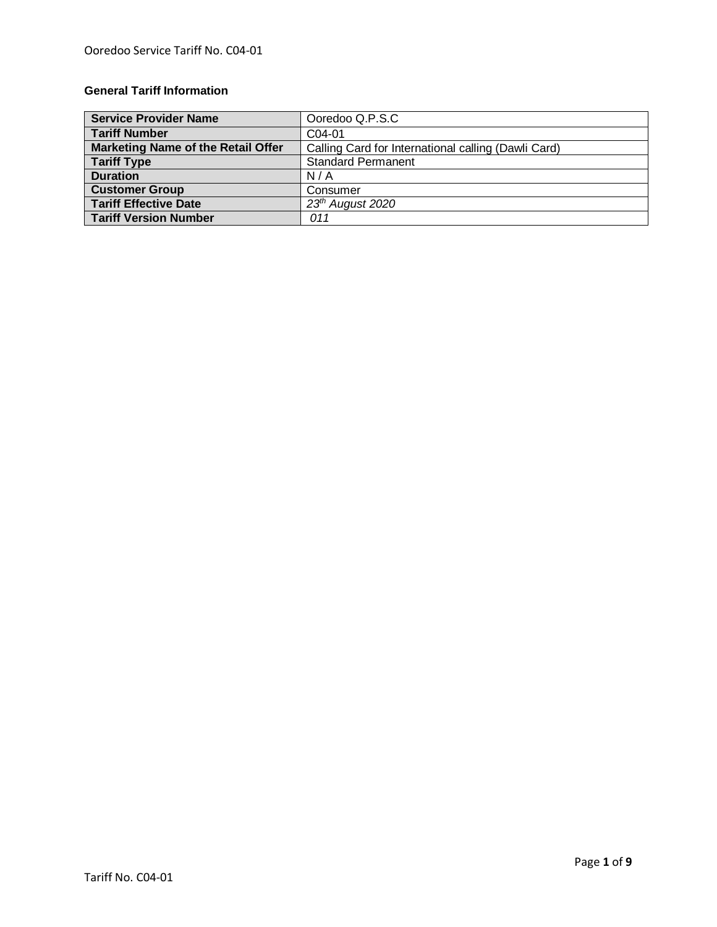# **General Tariff Information**

| <b>Service Provider Name</b>              | Ooredoo Q.P.S.C                                     |
|-------------------------------------------|-----------------------------------------------------|
| <b>Tariff Number</b>                      | C04-01                                              |
| <b>Marketing Name of the Retail Offer</b> | Calling Card for International calling (Dawli Card) |
| <b>Tariff Type</b>                        | <b>Standard Permanent</b>                           |
| <b>Duration</b>                           | N/A                                                 |
| <b>Customer Group</b>                     | Consumer                                            |
| <b>Tariff Effective Date</b>              | 23 <sup>th</sup> August 2020                        |
| <b>Tariff Version Number</b>              | 011                                                 |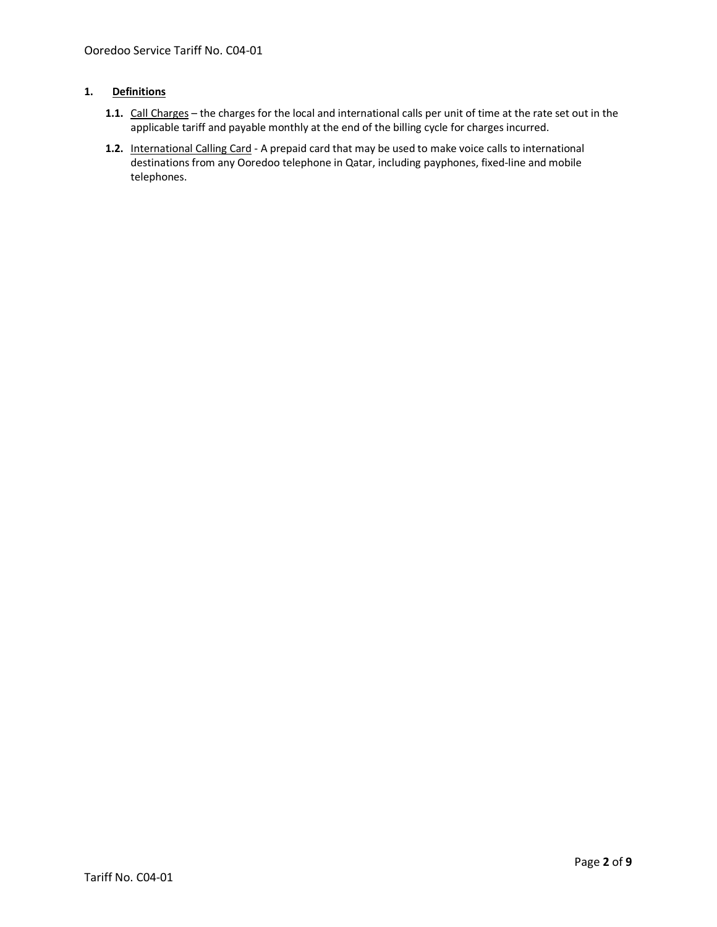# **1. Definitions**

- **1.1.** Call Charges the charges for the local and international calls per unit of time at the rate set out in the applicable tariff and payable monthly at the end of the billing cycle for charges incurred.
- **1.2.** International Calling Card A prepaid card that may be used to make voice calls to international destinations from any Ooredoo telephone in Qatar, including payphones, fixed-line and mobile telephones.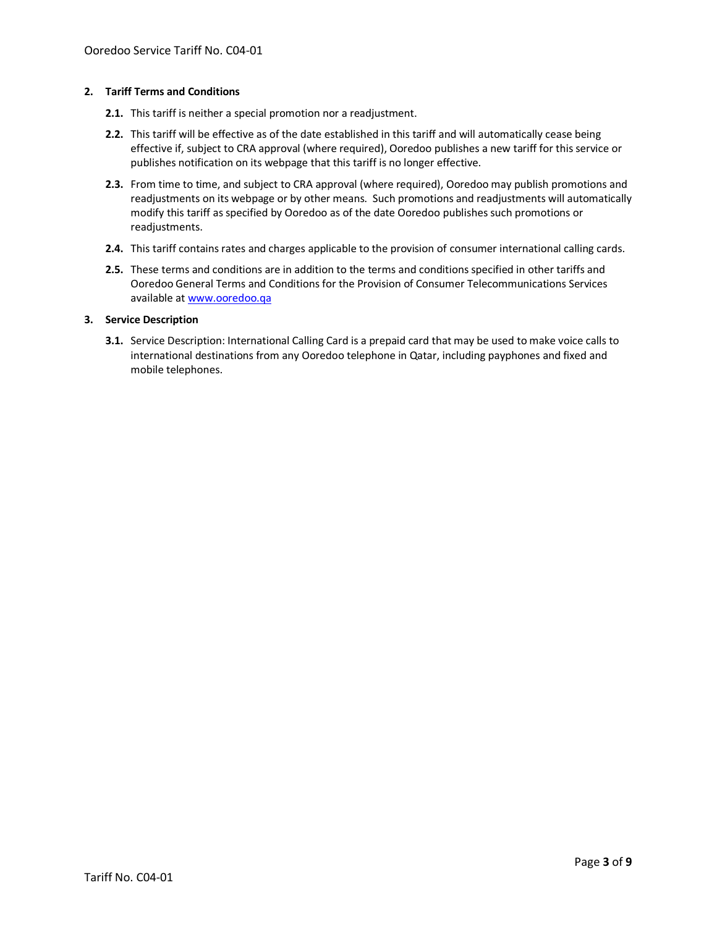#### **2. Tariff Terms and Conditions**

- **2.1.** This tariff is neither a special promotion nor a readjustment.
- **2.2.** This tariff will be effective as of the date established in this tariff and will automatically cease being effective if, subject to CRA approval (where required), Ooredoo publishes a new tariff for this service or publishes notification on its webpage that this tariff is no longer effective.
- **2.3.** From time to time, and subject to CRA approval (where required), Ooredoo may publish promotions and readjustments on its webpage or by other means. Such promotions and readjustments will automatically modify this tariff as specified by Ooredoo as of the date Ooredoo publishes such promotions or readjustments.
- **2.4.** This tariff contains rates and charges applicable to the provision of consumer international calling cards.
- **2.5.** These terms and conditions are in addition to the terms and conditions specified in other tariffs and Ooredoo General Terms and Conditions for the Provision of Consumer Telecommunications Services available a[t www.ooredoo.qa](http://www.ooredoo.qa/)

## **3. Service Description**

**3.1.** Service Description: International Calling Card is a prepaid card that may be used to make voice calls to international destinations from any Ooredoo telephone in Qatar, including payphones and fixed and mobile telephones.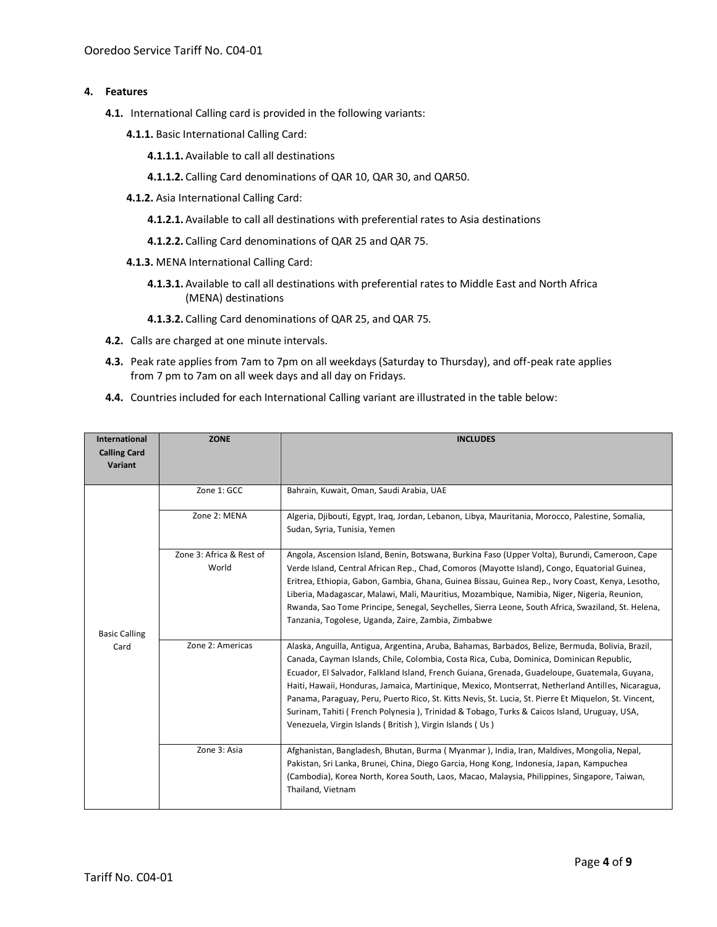## **4. Features**

- **4.1.** International Calling card is provided in the following variants:
	- **4.1.1.** Basic International Calling Card:
		- **4.1.1.1.** Available to call all destinations
		- **4.1.1.2.** Calling Card denominations of QAR 10, QAR 30, and QAR50.
	- **4.1.2.** Asia International Calling Card:
		- **4.1.2.1.** Available to call all destinations with preferential rates to Asia destinations
		- **4.1.2.2.** Calling Card denominations of QAR 25 and QAR 75.
	- **4.1.3.** MENA International Calling Card:
		- **4.1.3.1.** Available to call all destinations with preferential rates to Middle East and North Africa (MENA) destinations
		- **4.1.3.2.** Calling Card denominations of QAR 25, and QAR 75.
- **4.2.** Calls are charged at one minute intervals.
- **4.3.** Peak rate applies from 7am to 7pm on all weekdays (Saturday to Thursday), and off-peak rate applies from 7 pm to 7am on all week days and all day on Fridays.
- **4.4.** Countries included for each International Calling variant are illustrated in the table below:

| International<br><b>Calling Card</b><br>Variant | <b>ZONE</b>                       | <b>INCLUDES</b>                                                                                                                                                                                                                                                                                                                                                                                                                                                                                                                                                                                                                                                         |
|-------------------------------------------------|-----------------------------------|-------------------------------------------------------------------------------------------------------------------------------------------------------------------------------------------------------------------------------------------------------------------------------------------------------------------------------------------------------------------------------------------------------------------------------------------------------------------------------------------------------------------------------------------------------------------------------------------------------------------------------------------------------------------------|
|                                                 | Zone 1: GCC                       | Bahrain, Kuwait, Oman, Saudi Arabia, UAE                                                                                                                                                                                                                                                                                                                                                                                                                                                                                                                                                                                                                                |
|                                                 | Zone 2: MENA                      | Algeria, Djibouti, Egypt, Iraq, Jordan, Lebanon, Libya, Mauritania, Morocco, Palestine, Somalia,<br>Sudan, Syria, Tunisia, Yemen                                                                                                                                                                                                                                                                                                                                                                                                                                                                                                                                        |
| <b>Basic Calling</b>                            | Zone 3: Africa & Rest of<br>World | Angola, Ascension Island, Benin, Botswana, Burkina Faso (Upper Volta), Burundi, Cameroon, Cape<br>Verde Island, Central African Rep., Chad, Comoros (Mayotte Island), Congo, Equatorial Guinea,<br>Eritrea, Ethiopia, Gabon, Gambia, Ghana, Guinea Bissau, Guinea Rep., Ivory Coast, Kenya, Lesotho,<br>Liberia, Madagascar, Malawi, Mali, Mauritius, Mozambique, Namibia, Niger, Nigeria, Reunion,<br>Rwanda, Sao Tome Principe, Senegal, Seychelles, Sierra Leone, South Africa, Swaziland, St. Helena,<br>Tanzania, Togolese, Uganda, Zaire, Zambia, Zimbabwe                                                                                                        |
| Card                                            | Zone 2: Americas                  | Alaska, Anguilla, Antigua, Argentina, Aruba, Bahamas, Barbados, Belize, Bermuda, Bolivia, Brazil,<br>Canada, Cayman Islands, Chile, Colombia, Costa Rica, Cuba, Dominica, Dominican Republic,<br>Ecuador, El Salvador, Falkland Island, French Guiana, Grenada, Guadeloupe, Guatemala, Guyana,<br>Haiti, Hawaii, Honduras, Jamaica, Martinique, Mexico, Montserrat, Netherland Antilles, Nicaragua,<br>Panama, Paraguay, Peru, Puerto Rico, St. Kitts Nevis, St. Lucia, St. Pierre Et Miquelon, St. Vincent,<br>Surinam, Tahiti (French Polynesia), Trinidad & Tobago, Turks & Caicos Island, Uruguay, USA,<br>Venezuela, Virgin Islands (British), Virgin Islands (Us) |
|                                                 | Zone 3: Asia                      | Afghanistan, Bangladesh, Bhutan, Burma (Myanmar), India, Iran, Maldives, Mongolia, Nepal,<br>Pakistan, Sri Lanka, Brunei, China, Diego Garcia, Hong Kong, Indonesia, Japan, Kampuchea<br>(Cambodia), Korea North, Korea South, Laos, Macao, Malaysia, Philippines, Singapore, Taiwan,<br>Thailand, Vietnam                                                                                                                                                                                                                                                                                                                                                              |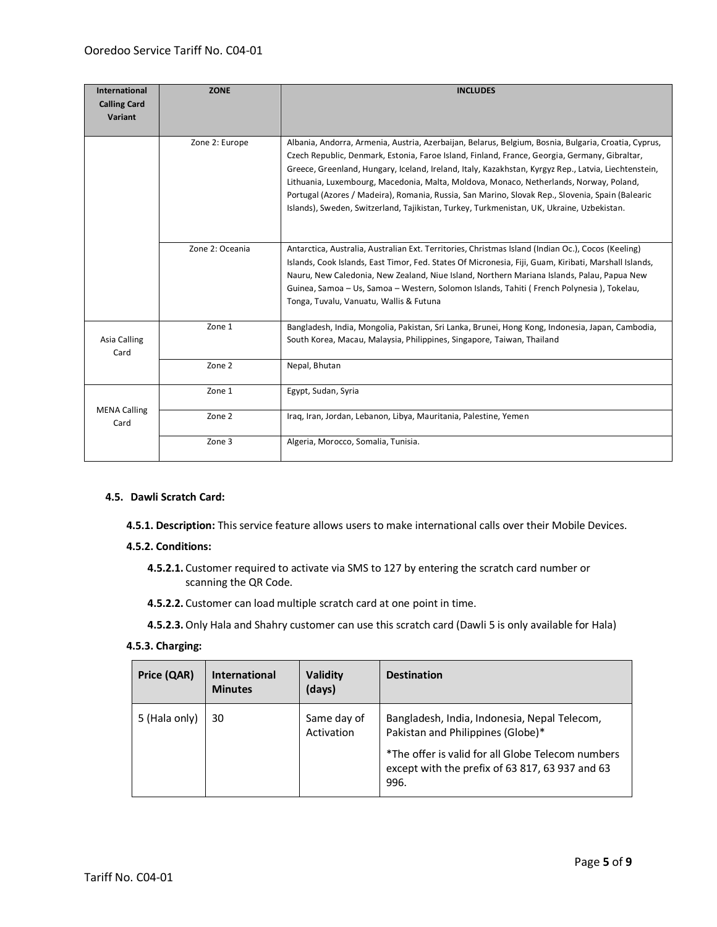| <b>International</b><br><b>Calling Card</b><br>Variant | <b>ZONE</b>     | <b>INCLUDES</b>                                                                                                                                                                                                                                                                                                                                                                                                                                                                                                                                                                                          |
|--------------------------------------------------------|-----------------|----------------------------------------------------------------------------------------------------------------------------------------------------------------------------------------------------------------------------------------------------------------------------------------------------------------------------------------------------------------------------------------------------------------------------------------------------------------------------------------------------------------------------------------------------------------------------------------------------------|
|                                                        | Zone 2: Europe  | Albania, Andorra, Armenia, Austria, Azerbaijan, Belarus, Belgium, Bosnia, Bulgaria, Croatia, Cyprus,<br>Czech Republic, Denmark, Estonia, Faroe Island, Finland, France, Georgia, Germany, Gibraltar,<br>Greece, Greenland, Hungary, Iceland, Ireland, Italy, Kazakhstan, Kyrgyz Rep., Latvia, Liechtenstein,<br>Lithuania, Luxembourg, Macedonia, Malta, Moldova, Monaco, Netherlands, Norway, Poland,<br>Portugal (Azores / Madeira), Romania, Russia, San Marino, Slovak Rep., Slovenia, Spain (Balearic<br>Islands), Sweden, Switzerland, Tajikistan, Turkey, Turkmenistan, UK, Ukraine, Uzbekistan. |
|                                                        | Zone 2: Oceania | Antarctica, Australia, Australian Ext. Territories, Christmas Island (Indian Oc.), Cocos (Keeling)<br>Islands, Cook Islands, East Timor, Fed. States Of Micronesia, Fiji, Guam, Kiribati, Marshall Islands,<br>Nauru, New Caledonia, New Zealand, Niue Island, Northern Mariana Islands, Palau, Papua New<br>Guinea, Samoa – Us, Samoa – Western, Solomon Islands, Tahiti (French Polynesia), Tokelau,<br>Tonga, Tuvalu, Vanuatu, Wallis & Futuna                                                                                                                                                        |
| Asia Calling<br>Card                                   | Zone 1          | Bangladesh, India, Mongolia, Pakistan, Sri Lanka, Brunei, Hong Kong, Indonesia, Japan, Cambodia,<br>South Korea, Macau, Malaysia, Philippines, Singapore, Taiwan, Thailand                                                                                                                                                                                                                                                                                                                                                                                                                               |
|                                                        | Zone 2          | Nepal, Bhutan                                                                                                                                                                                                                                                                                                                                                                                                                                                                                                                                                                                            |
|                                                        | Zone 1          | Egypt, Sudan, Syria                                                                                                                                                                                                                                                                                                                                                                                                                                                                                                                                                                                      |
| <b>MENA Calling</b><br>Card                            | Zone 2          | Iraq, Iran, Jordan, Lebanon, Libya, Mauritania, Palestine, Yemen                                                                                                                                                                                                                                                                                                                                                                                                                                                                                                                                         |
|                                                        | Zone 3          | Algeria, Morocco, Somalia, Tunisia.                                                                                                                                                                                                                                                                                                                                                                                                                                                                                                                                                                      |

# **4.5. Dawli Scratch Card:**

**4.5.1. Description:** This service feature allows users to make international calls over their Mobile Devices.

#### **4.5.2. Conditions:**

- **4.5.2.1.** Customer required to activate via SMS to 127 by entering the scratch card number or scanning the QR Code.
- **4.5.2.2.** Customer can load multiple scratch card at one point in time.

**4.5.2.3.**Only Hala and Shahry customer can use this scratch card (Dawli 5 is only available for Hala)

## **4.5.3. Charging:**

| Price (QAR)   | <b>International</b><br><b>Minutes</b> | Validity<br>(days)        | <b>Destination</b>                                                                                                                                                                                |
|---------------|----------------------------------------|---------------------------|---------------------------------------------------------------------------------------------------------------------------------------------------------------------------------------------------|
| 5 (Hala only) | 30                                     | Same day of<br>Activation | Bangladesh, India, Indonesia, Nepal Telecom,<br>Pakistan and Philippines (Globe)*<br>*The offer is valid for all Globe Telecom numbers<br>except with the prefix of 63 817, 63 937 and 63<br>996. |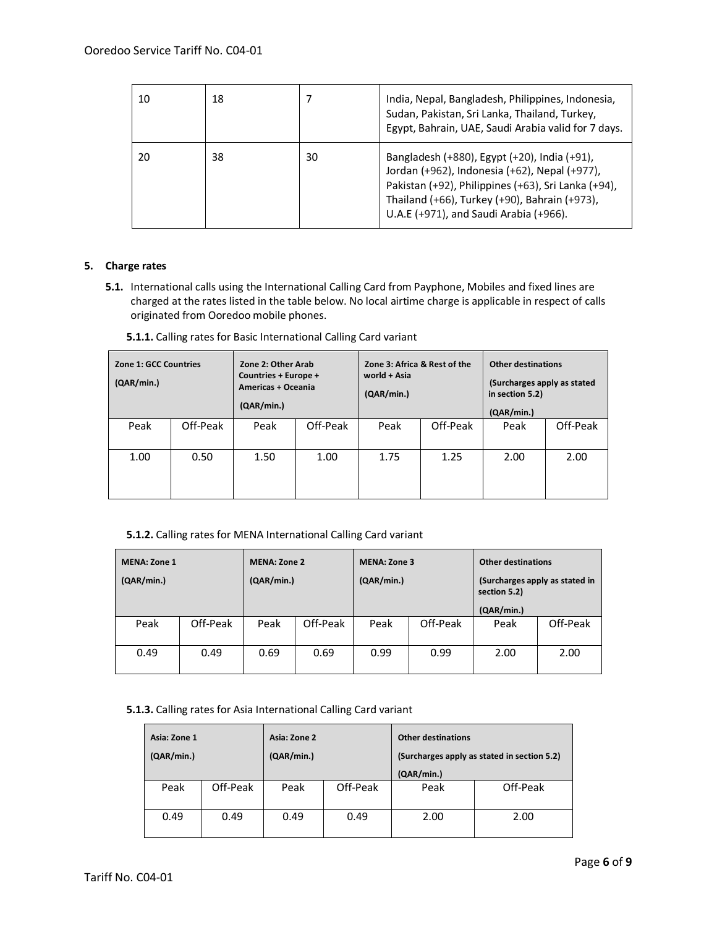| 10 | 18 |    | India, Nepal, Bangladesh, Philippines, Indonesia,<br>Sudan, Pakistan, Sri Lanka, Thailand, Turkey,<br>Egypt, Bahrain, UAE, Saudi Arabia valid for 7 days.                                                                                       |
|----|----|----|-------------------------------------------------------------------------------------------------------------------------------------------------------------------------------------------------------------------------------------------------|
| 20 | 38 | 30 | Bangladesh (+880), Egypt (+20), India (+91),<br>Jordan (+962), Indonesia (+62), Nepal (+977),<br>Pakistan (+92), Philippines (+63), Sri Lanka (+94),<br>Thailand (+66), Turkey (+90), Bahrain (+973),<br>U.A.E (+971), and Saudi Arabia (+966). |

# <span id="page-5-0"></span>**5. Charge rates**

**5.1.** International calls using the International Calling Card from Payphone, Mobiles and fixed lines are charged at the rates listed in the table below. No local airtime charge is applicable in respect of calls originated from Ooredoo mobile phones.

| Zone 1: GCC Countries<br>(QAR/min.) |          | Zone 2: Other Arab<br>Countries + Europe +<br>Americas + Oceania<br>(QAR/min.) |          | Zone 3: Africa & Rest of the<br>world + Asia<br>(QAR/min.) |          | <b>Other destinations</b><br>(Surcharges apply as stated<br>in section 5.2)<br>(QAR/min.) |          |
|-------------------------------------|----------|--------------------------------------------------------------------------------|----------|------------------------------------------------------------|----------|-------------------------------------------------------------------------------------------|----------|
| Peak                                | Off-Peak | Peak                                                                           | Off-Peak | Peak                                                       | Off-Peak | Peak                                                                                      | Off-Peak |
| 1.00                                | 0.50     | 1.50                                                                           | 1.00     | 1.75                                                       | 1.25     | 2.00                                                                                      | 2.00     |

**5.1.1.** Calling rates for Basic International Calling Card variant

# **5.1.2.** Calling rates for MENA International Calling Card variant

| <b>MENA: Zone 1</b><br><b>MENA: Zone 2</b><br>(QAR/min.)<br>(QAR/min.) |          | <b>MENA: Zone 3</b><br>(QAR/min.) |      | <b>Other destinations</b><br>(Surcharges apply as stated in<br>section 5.2) |      |                    |          |
|------------------------------------------------------------------------|----------|-----------------------------------|------|-----------------------------------------------------------------------------|------|--------------------|----------|
| Peak                                                                   | Off-Peak | Off-Peak<br>Peak                  |      | Off-Peak<br>Peak                                                            |      | (QAR/min.)<br>Peak | Off-Peak |
| 0.49                                                                   | 0.49     | 0.69                              | 0.69 | 0.99                                                                        | 0.99 | 2.00               | 2.00     |

# **5.1.3.** Calling rates for Asia International Calling Card variant

| Asia: Zone 1<br>(QAR/min.) |          | Asia: Zone 2<br>(QAR/min.) |          | <b>Other destinations</b><br>(Surcharges apply as stated in section 5.2)<br>(QAR/min.) |          |
|----------------------------|----------|----------------------------|----------|----------------------------------------------------------------------------------------|----------|
| Peak                       | Off-Peak | Peak                       | Off-Peak | Peak                                                                                   | Off-Peak |
| 0.49                       | 0.49     | 0.49                       | 0.49     | 2.00                                                                                   | 2.00     |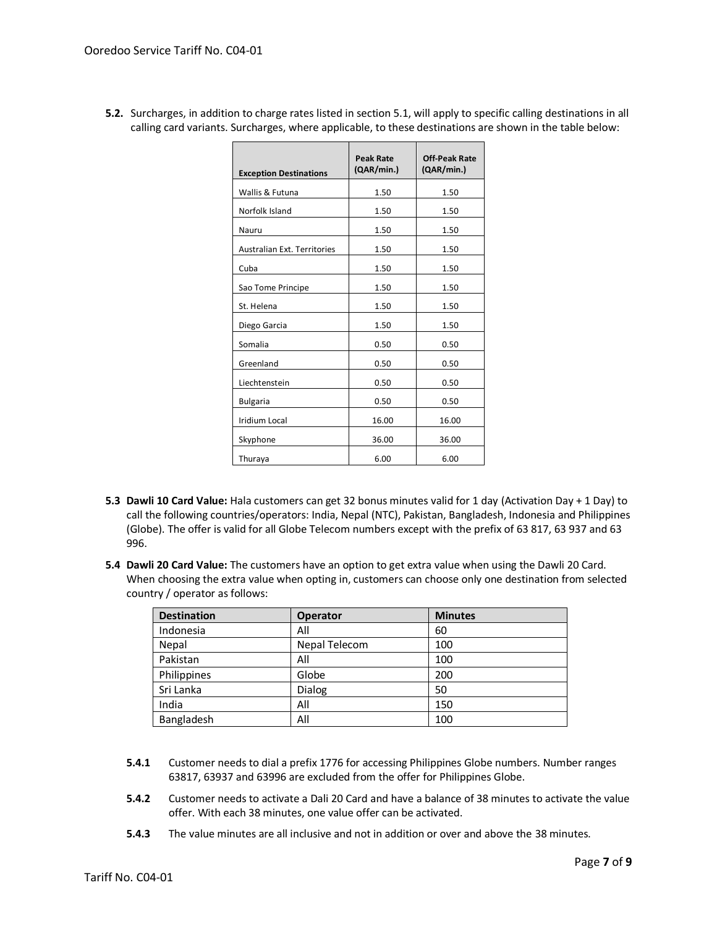| <b>Exception Destinations</b>      | <b>Peak Rate</b><br>(QAR/min.) | <b>Off-Peak Rate</b><br>(QAR/min.) |
|------------------------------------|--------------------------------|------------------------------------|
| Wallis & Futuna                    | 1.50                           | 1.50                               |
| Norfolk Island                     | 1.50                           | 1.50                               |
| Nauru                              | 1.50                           | 1.50                               |
| <b>Australian Ext. Territories</b> | 1.50                           | 1.50                               |
| Cuba                               | 1.50                           | 1.50                               |
| Sao Tome Principe                  | 1.50                           | 1.50                               |
| St. Helena                         | 1.50                           | 1.50                               |
| Diego Garcia                       | 1.50                           | 1.50                               |
| Somalia                            | 0.50                           | 0.50                               |
| Greenland                          | 0.50                           | 0.50                               |
| Liechtenstein                      | 0.50                           | 0.50                               |
| <b>Bulgaria</b>                    | 0.50                           | 0.50                               |
| <b>Iridium Local</b>               | 16.00                          | 16.00                              |
| Skyphone                           | 36.00                          | 36.00                              |
| Thuraya                            | 6.00                           | 6.00                               |

<span id="page-6-0"></span>**5.2.** Surcharges, in addition to charge rates listed in section [5.1,](#page-5-0) will apply to specific calling destinations in all calling card variants. Surcharges, where applicable, to these destinations are shown in the table below:

- **5.3 Dawli 10 Card Value:** Hala customers can get 32 bonus minutes valid for 1 day (Activation Day + 1 Day) to call the following countries/operators: India, Nepal (NTC), Pakistan, Bangladesh, Indonesia and Philippines (Globe). The offer is valid for all Globe Telecom numbers except with the prefix of 63 817, 63 937 and 63 996.
- **5.4 Dawli 20 Card Value:** The customers have an option to get extra value when using the Dawli 20 Card. When choosing the extra value when opting in, customers can choose only one destination from selected country / operator as follows:

| <b>Destination</b> | <b>Operator</b> | <b>Minutes</b> |
|--------------------|-----------------|----------------|
| Indonesia          | All             | 60             |
| Nepal              | Nepal Telecom   | 100            |
| Pakistan           | All             | 100            |
| Philippines        | Globe           | 200            |
| Sri Lanka          | Dialog          | 50             |
| India              | All             | 150            |
| Bangladesh         | All             | 100            |

- **5.4.1** Customer needs to dial a prefix 1776 for accessing Philippines Globe numbers. Number ranges 63817, 63937 and 63996 are excluded from the offer for Philippines Globe.
- **5.4.2** Customer needs to activate a Dali 20 Card and have a balance of 38 minutes to activate the value offer. With each 38 minutes, one value offer can be activated.
- **5.4.3** The value minutes are all inclusive and not in addition or over and above the 38 minutes.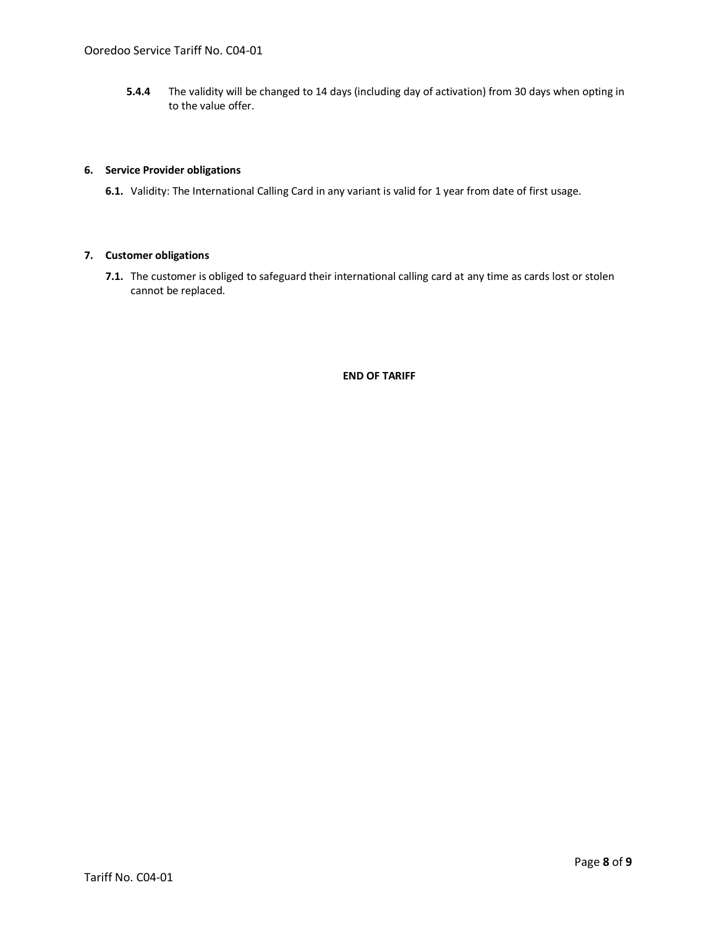**5.4.4** The validity will be changed to 14 days (including day of activation) from 30 days when opting in to the value offer.

## **6. Service Provider obligations**

**6.1.** Validity: The International Calling Card in any variant is valid for 1 year from date of first usage.

## **7. Customer obligations**

**7.1.** The customer is obliged to safeguard their international calling card at any time as cards lost or stolen cannot be replaced.

# **END OF TARIFF**